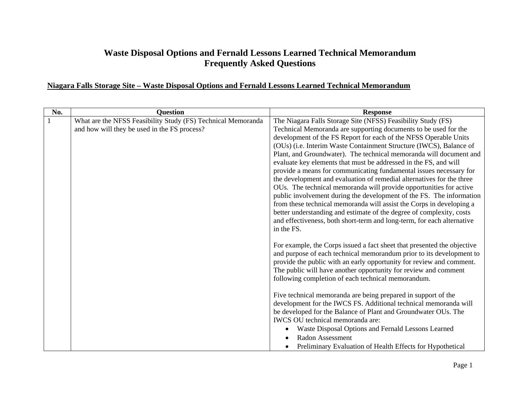## **Waste Disposal Options and Fernald Lessons Learned Technical Memorandum Frequently Asked Questions**

| No. | <b>Question</b>                                              | <b>Response</b>                                                                                                                                |
|-----|--------------------------------------------------------------|------------------------------------------------------------------------------------------------------------------------------------------------|
|     | What are the NFSS Feasibility Study (FS) Technical Memoranda | The Niagara Falls Storage Site (NFSS) Feasibility Study (FS)                                                                                   |
|     | and how will they be used in the FS process?                 | Technical Memoranda are supporting documents to be used for the                                                                                |
|     |                                                              | development of the FS Report for each of the NFSS Operable Units                                                                               |
|     |                                                              | (OUs) (i.e. Interim Waste Containment Structure (IWCS), Balance of                                                                             |
|     |                                                              | Plant, and Groundwater). The technical memoranda will document and                                                                             |
|     |                                                              | evaluate key elements that must be addressed in the FS, and will                                                                               |
|     |                                                              | provide a means for communicating fundamental issues necessary for                                                                             |
|     |                                                              | the development and evaluation of remedial alternatives for the three                                                                          |
|     |                                                              | OUs. The technical memoranda will provide opportunities for active                                                                             |
|     |                                                              | public involvement during the development of the FS. The information                                                                           |
|     |                                                              | from these technical memoranda will assist the Corps in developing a                                                                           |
|     |                                                              | better understanding and estimate of the degree of complexity, costs<br>and effectiveness, both short-term and long-term, for each alternative |
|     |                                                              | in the FS.                                                                                                                                     |
|     |                                                              |                                                                                                                                                |
|     |                                                              | For example, the Corps issued a fact sheet that presented the objective                                                                        |
|     |                                                              | and purpose of each technical memorandum prior to its development to                                                                           |
|     |                                                              | provide the public with an early opportunity for review and comment.                                                                           |
|     |                                                              | The public will have another opportunity for review and comment                                                                                |
|     |                                                              | following completion of each technical memorandum.                                                                                             |
|     |                                                              |                                                                                                                                                |
|     |                                                              | Five technical memoranda are being prepared in support of the                                                                                  |
|     |                                                              | development for the IWCS FS. Additional technical memoranda will                                                                               |
|     |                                                              | be developed for the Balance of Plant and Groundwater OUs. The                                                                                 |
|     |                                                              | IWCS OU technical memoranda are:                                                                                                               |
|     |                                                              | Waste Disposal Options and Fernald Lessons Learned                                                                                             |
|     |                                                              | Radon Assessment                                                                                                                               |
|     |                                                              | Preliminary Evaluation of Health Effects for Hypothetical<br>$\bullet$                                                                         |

## **Niagara Falls Storage Site – Waste Disposal Options and Fernald Lessons Learned Technical Memorandum**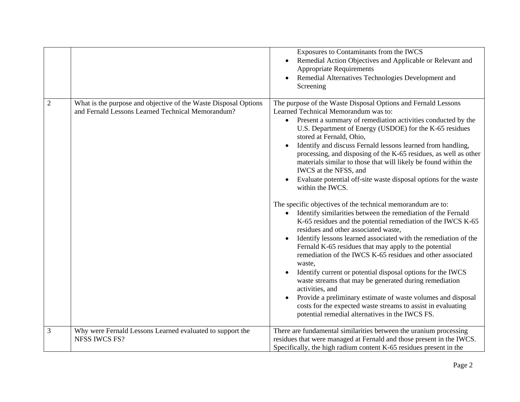|                |                                                                                                                      | Exposures to Contaminants from the IWCS<br>Remedial Action Objectives and Applicable or Relevant and<br><b>Appropriate Requirements</b><br>Remedial Alternatives Technologies Development and<br>Screening                                                                                                                                                                                                                                                                                                                                                                                                                                                                                                                                                                                                                                                                                                                                                                                                                                                                                                                                                                                                                                                                                                                                                                              |
|----------------|----------------------------------------------------------------------------------------------------------------------|-----------------------------------------------------------------------------------------------------------------------------------------------------------------------------------------------------------------------------------------------------------------------------------------------------------------------------------------------------------------------------------------------------------------------------------------------------------------------------------------------------------------------------------------------------------------------------------------------------------------------------------------------------------------------------------------------------------------------------------------------------------------------------------------------------------------------------------------------------------------------------------------------------------------------------------------------------------------------------------------------------------------------------------------------------------------------------------------------------------------------------------------------------------------------------------------------------------------------------------------------------------------------------------------------------------------------------------------------------------------------------------------|
| $\overline{2}$ | What is the purpose and objective of the Waste Disposal Options<br>and Fernald Lessons Learned Technical Memorandum? | The purpose of the Waste Disposal Options and Fernald Lessons<br>Learned Technical Memorandum was to:<br>Present a summary of remediation activities conducted by the<br>U.S. Department of Energy (USDOE) for the K-65 residues<br>stored at Fernald, Ohio,<br>Identify and discuss Fernald lessons learned from handling,<br>$\bullet$<br>processing, and disposing of the K-65 residues, as well as other<br>materials similar to those that will likely be found within the<br>IWCS at the NFSS, and<br>Evaluate potential off-site waste disposal options for the waste<br>within the IWCS.<br>The specific objectives of the technical memorandum are to:<br>Identify similarities between the remediation of the Fernald<br>$\bullet$<br>K-65 residues and the potential remediation of the IWCS K-65<br>residues and other associated waste,<br>Identify lessons learned associated with the remediation of the<br>Fernald K-65 residues that may apply to the potential<br>remediation of the IWCS K-65 residues and other associated<br>waste,<br>Identify current or potential disposal options for the IWCS<br>waste streams that may be generated during remediation<br>activities, and<br>Provide a preliminary estimate of waste volumes and disposal<br>costs for the expected waste streams to assist in evaluating<br>potential remedial alternatives in the IWCS FS. |
| 3              | Why were Fernald Lessons Learned evaluated to support the<br><b>NFSS IWCS FS?</b>                                    | There are fundamental similarities between the uranium processing<br>residues that were managed at Fernald and those present in the IWCS.<br>Specifically, the high radium content K-65 residues present in the                                                                                                                                                                                                                                                                                                                                                                                                                                                                                                                                                                                                                                                                                                                                                                                                                                                                                                                                                                                                                                                                                                                                                                         |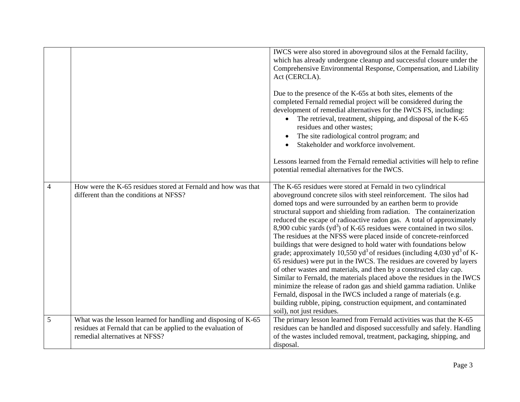|                |                                                                                                                                                                  | IWCS were also stored in aboveground silos at the Fernald facility,<br>which has already undergone cleanup and successful closure under the<br>Comprehensive Environmental Response, Compensation, and Liability<br>Act (CERCLA).<br>Due to the presence of the K-65s at both sites, elements of the<br>completed Fernald remedial project will be considered during the<br>development of remedial alternatives for the IWCS FS, including:<br>The retrieval, treatment, shipping, and disposal of the K-65<br>residues and other wastes;<br>The site radiological control program; and<br>Stakeholder and workforce involvement.<br>Lessons learned from the Fernald remedial activities will help to refine<br>potential remedial alternatives for the IWCS.                                                                                                                                                                                                                                                                                                                                                                                      |
|----------------|------------------------------------------------------------------------------------------------------------------------------------------------------------------|------------------------------------------------------------------------------------------------------------------------------------------------------------------------------------------------------------------------------------------------------------------------------------------------------------------------------------------------------------------------------------------------------------------------------------------------------------------------------------------------------------------------------------------------------------------------------------------------------------------------------------------------------------------------------------------------------------------------------------------------------------------------------------------------------------------------------------------------------------------------------------------------------------------------------------------------------------------------------------------------------------------------------------------------------------------------------------------------------------------------------------------------------|
| $\overline{4}$ | How were the K-65 residues stored at Fernald and how was that<br>different than the conditions at NFSS?                                                          | The K-65 residues were stored at Fernald in two cylindrical<br>aboveground concrete silos with steel reinforcement. The silos had<br>domed tops and were surrounded by an earthen berm to provide<br>structural support and shielding from radiation. The containerization<br>reduced the escape of radioactive radon gas. A total of approximately<br>8,900 cubic yards $(yd3)$ of K-65 residues were contained in two silos.<br>The residues at the NFSS were placed inside of concrete-reinforced<br>buildings that were designed to hold water with foundations below<br>grade; approximately 10,550 yd <sup>3</sup> of residues (including 4,030 yd <sup>3</sup> of K-<br>65 residues) were put in the IWCS. The residues are covered by layers<br>of other wastes and materials, and then by a constructed clay cap.<br>Similar to Fernald, the materials placed above the residues in the IWCS<br>minimize the release of radon gas and shield gamma radiation. Unlike<br>Fernald, disposal in the IWCS included a range of materials (e.g.<br>building rubble, piping, construction equipment, and contaminated<br>soil), not just residues. |
| 5              | What was the lesson learned for handling and disposing of K-65<br>residues at Fernald that can be applied to the evaluation of<br>remedial alternatives at NFSS? | The primary lesson learned from Fernald activities was that the K-65<br>residues can be handled and disposed successfully and safely. Handling<br>of the wastes included removal, treatment, packaging, shipping, and<br>disposal.                                                                                                                                                                                                                                                                                                                                                                                                                                                                                                                                                                                                                                                                                                                                                                                                                                                                                                                   |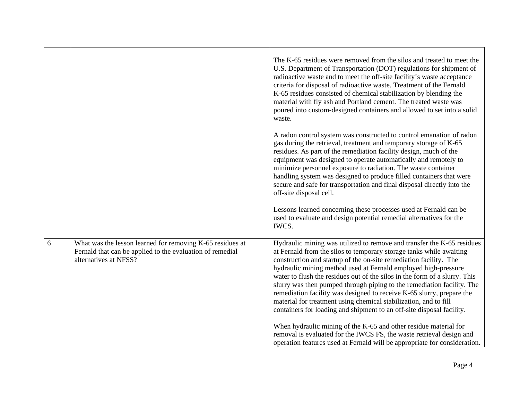|   |                                                                                                                                                 | The K-65 residues were removed from the silos and treated to meet the<br>U.S. Department of Transportation (DOT) regulations for shipment of<br>radioactive waste and to meet the off-site facility's waste acceptance<br>criteria for disposal of radioactive waste. Treatment of the Fernald<br>K-65 residues consisted of chemical stabilization by blending the<br>material with fly ash and Portland cement. The treated waste was<br>poured into custom-designed containers and allowed to set into a solid<br>waste.                                                                                                                                        |
|---|-------------------------------------------------------------------------------------------------------------------------------------------------|--------------------------------------------------------------------------------------------------------------------------------------------------------------------------------------------------------------------------------------------------------------------------------------------------------------------------------------------------------------------------------------------------------------------------------------------------------------------------------------------------------------------------------------------------------------------------------------------------------------------------------------------------------------------|
|   |                                                                                                                                                 | A radon control system was constructed to control emanation of radon<br>gas during the retrieval, treatment and temporary storage of K-65<br>residues. As part of the remediation facility design, much of the<br>equipment was designed to operate automatically and remotely to<br>minimize personnel exposure to radiation. The waste container<br>handling system was designed to produce filled containers that were<br>secure and safe for transportation and final disposal directly into the<br>off-site disposal cell.                                                                                                                                    |
|   |                                                                                                                                                 | Lessons learned concerning these processes used at Fernald can be<br>used to evaluate and design potential remedial alternatives for the<br>IWCS.                                                                                                                                                                                                                                                                                                                                                                                                                                                                                                                  |
| 6 | What was the lesson learned for removing K-65 residues at<br>Fernald that can be applied to the evaluation of remedial<br>alternatives at NFSS? | Hydraulic mining was utilized to remove and transfer the K-65 residues<br>at Fernald from the silos to temporary storage tanks while awaiting<br>construction and startup of the on-site remediation facility. The<br>hydraulic mining method used at Fernald employed high-pressure<br>water to flush the residues out of the silos in the form of a slurry. This<br>slurry was then pumped through piping to the remediation facility. The<br>remediation facility was designed to receive K-65 slurry, prepare the<br>material for treatment using chemical stabilization, and to fill<br>containers for loading and shipment to an off-site disposal facility. |
|   |                                                                                                                                                 | When hydraulic mining of the K-65 and other residue material for<br>removal is evaluated for the IWCS FS, the waste retrieval design and<br>operation features used at Fernald will be appropriate for consideration.                                                                                                                                                                                                                                                                                                                                                                                                                                              |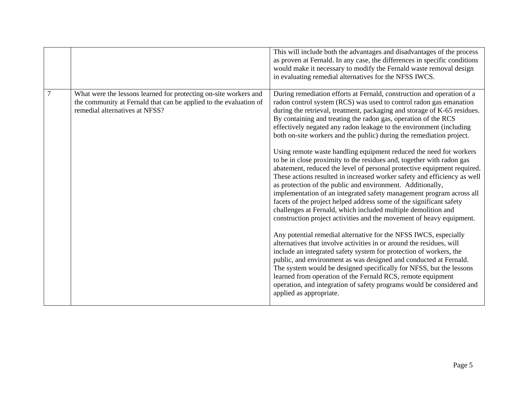|                |                                                                                                                                                                         | This will include both the advantages and disadvantages of the process<br>as proven at Fernald. In any case, the differences in specific conditions<br>would make it necessary to modify the Fernald waste removal design<br>in evaluating remedial alternatives for the NFSS IWCS.                                                                                                                                                                                                                                                                                                                                                                                                                                                                                                                                                                                                                                                                                                                                                                                                                                                                                                                                                                                                                                                                                                                                                                                                                                                                                                                                                    |
|----------------|-------------------------------------------------------------------------------------------------------------------------------------------------------------------------|----------------------------------------------------------------------------------------------------------------------------------------------------------------------------------------------------------------------------------------------------------------------------------------------------------------------------------------------------------------------------------------------------------------------------------------------------------------------------------------------------------------------------------------------------------------------------------------------------------------------------------------------------------------------------------------------------------------------------------------------------------------------------------------------------------------------------------------------------------------------------------------------------------------------------------------------------------------------------------------------------------------------------------------------------------------------------------------------------------------------------------------------------------------------------------------------------------------------------------------------------------------------------------------------------------------------------------------------------------------------------------------------------------------------------------------------------------------------------------------------------------------------------------------------------------------------------------------------------------------------------------------|
| $\overline{7}$ | What were the lessons learned for protecting on-site workers and<br>the community at Fernald that can be applied to the evaluation of<br>remedial alternatives at NFSS? | During remediation efforts at Fernald, construction and operation of a<br>radon control system (RCS) was used to control radon gas emanation<br>during the retrieval, treatment, packaging and storage of K-65 residues.<br>By containing and treating the radon gas, operation of the RCS<br>effectively negated any radon leakage to the environment (including<br>both on-site workers and the public) during the remediation project.<br>Using remote waste handling equipment reduced the need for workers<br>to be in close proximity to the residues and, together with radon gas<br>abatement, reduced the level of personal protective equipment required.<br>These actions resulted in increased worker safety and efficiency as well<br>as protection of the public and environment. Additionally,<br>implementation of an integrated safety management program across all<br>facets of the project helped address some of the significant safety<br>challenges at Fernald, which included multiple demolition and<br>construction project activities and the movement of heavy equipment.<br>Any potential remedial alternative for the NFSS IWCS, especially<br>alternatives that involve activities in or around the residues, will<br>include an integrated safety system for protection of workers, the<br>public, and environment as was designed and conducted at Fernald.<br>The system would be designed specifically for NFSS, but the lessons<br>learned from operation of the Fernald RCS, remote equipment<br>operation, and integration of safety programs would be considered and<br>applied as appropriate. |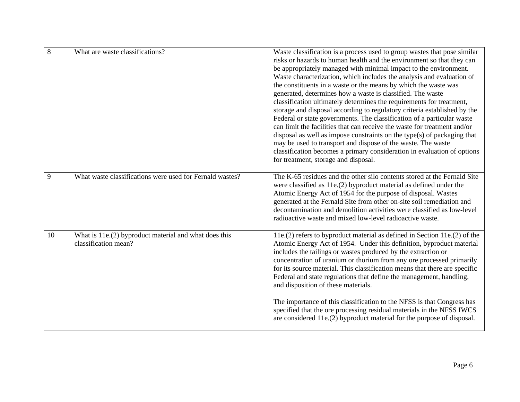| $\overline{8}$ | What are waste classifications?                                               | Waste classification is a process used to group wastes that pose similar<br>risks or hazards to human health and the environment so that they can<br>be appropriately managed with minimal impact to the environment.<br>Waste characterization, which includes the analysis and evaluation of<br>the constituents in a waste or the means by which the waste was<br>generated, determines how a waste is classified. The waste<br>classification ultimately determines the requirements for treatment,<br>storage and disposal according to regulatory criteria established by the<br>Federal or state governments. The classification of a particular waste<br>can limit the facilities that can receive the waste for treatment and/or<br>disposal as well as impose constraints on the type(s) of packaging that<br>may be used to transport and dispose of the waste. The waste<br>classification becomes a primary consideration in evaluation of options<br>for treatment, storage and disposal. |
|----------------|-------------------------------------------------------------------------------|---------------------------------------------------------------------------------------------------------------------------------------------------------------------------------------------------------------------------------------------------------------------------------------------------------------------------------------------------------------------------------------------------------------------------------------------------------------------------------------------------------------------------------------------------------------------------------------------------------------------------------------------------------------------------------------------------------------------------------------------------------------------------------------------------------------------------------------------------------------------------------------------------------------------------------------------------------------------------------------------------------|
| 9              | What waste classifications were used for Fernald wastes?                      | The K-65 residues and the other silo contents stored at the Fernald Site<br>were classified as 11e.(2) byproduct material as defined under the<br>Atomic Energy Act of 1954 for the purpose of disposal. Wastes<br>generated at the Fernald Site from other on-site soil remediation and<br>decontamination and demolition activities were classified as low-level<br>radioactive waste and mixed low-level radioactive waste.                                                                                                                                                                                                                                                                                                                                                                                                                                                                                                                                                                          |
| 10             | What is 11e.(2) byproduct material and what does this<br>classification mean? | 11e.(2) refers to byproduct material as defined in Section 11e.(2) of the<br>Atomic Energy Act of 1954. Under this definition, byproduct material<br>includes the tailings or wastes produced by the extraction or<br>concentration of uranium or thorium from any ore processed primarily<br>for its source material. This classification means that there are specific<br>Federal and state regulations that define the management, handling,<br>and disposition of these materials.                                                                                                                                                                                                                                                                                                                                                                                                                                                                                                                  |
|                |                                                                               | The importance of this classification to the NFSS is that Congress has<br>specified that the ore processing residual materials in the NFSS IWCS<br>are considered 11e.(2) byproduct material for the purpose of disposal.                                                                                                                                                                                                                                                                                                                                                                                                                                                                                                                                                                                                                                                                                                                                                                               |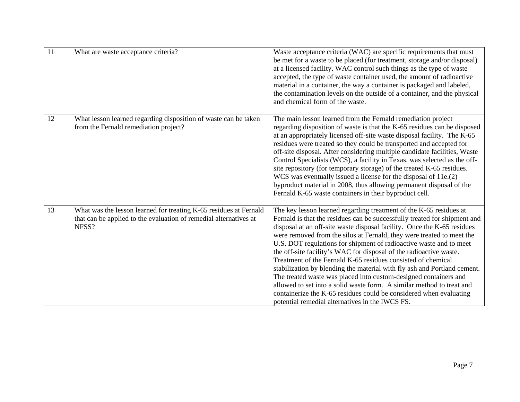| $\overline{11}$ | What are waste acceptance criteria?                                                                                                             | Waste acceptance criteria (WAC) are specific requirements that must<br>be met for a waste to be placed (for treatment, storage and/or disposal)<br>at a licensed facility. WAC control such things as the type of waste<br>accepted, the type of waste container used, the amount of radioactive<br>material in a container, the way a container is packaged and labeled,<br>the contamination levels on the outside of a container, and the physical<br>and chemical form of the waste.                                                                                                                                                                                                                                                                                                                                                                          |
|-----------------|-------------------------------------------------------------------------------------------------------------------------------------------------|-------------------------------------------------------------------------------------------------------------------------------------------------------------------------------------------------------------------------------------------------------------------------------------------------------------------------------------------------------------------------------------------------------------------------------------------------------------------------------------------------------------------------------------------------------------------------------------------------------------------------------------------------------------------------------------------------------------------------------------------------------------------------------------------------------------------------------------------------------------------|
| 12              | What lesson learned regarding disposition of waste can be taken<br>from the Fernald remediation project?                                        | The main lesson learned from the Fernald remediation project<br>regarding disposition of waste is that the K-65 residues can be disposed<br>at an appropriately licensed off-site waste disposal facility. The K-65<br>residues were treated so they could be transported and accepted for<br>off-site disposal. After considering multiple candidate facilities, Waste<br>Control Specialists (WCS), a facility in Texas, was selected as the off-<br>site repository (for temporary storage) of the treated K-65 residues.<br>WCS was eventually issued a license for the disposal of 11e.(2)<br>byproduct material in 2008, thus allowing permanent disposal of the<br>Fernald K-65 waste containers in their byproduct cell.                                                                                                                                  |
| 13              | What was the lesson learned for treating K-65 residues at Fernald<br>that can be applied to the evaluation of remedial alternatives at<br>NFSS? | The key lesson learned regarding treatment of the K-65 residues at<br>Fernald is that the residues can be successfully treated for shipment and<br>disposal at an off-site waste disposal facility. Once the K-65 residues<br>were removed from the silos at Fernald, they were treated to meet the<br>U.S. DOT regulations for shipment of radioactive waste and to meet<br>the off-site facility's WAC for disposal of the radioactive waste.<br>Treatment of the Fernald K-65 residues consisted of chemical<br>stabilization by blending the material with fly ash and Portland cement.<br>The treated waste was placed into custom-designed containers and<br>allowed to set into a solid waste form. A similar method to treat and<br>containerize the K-65 residues could be considered when evaluating<br>potential remedial alternatives in the IWCS FS. |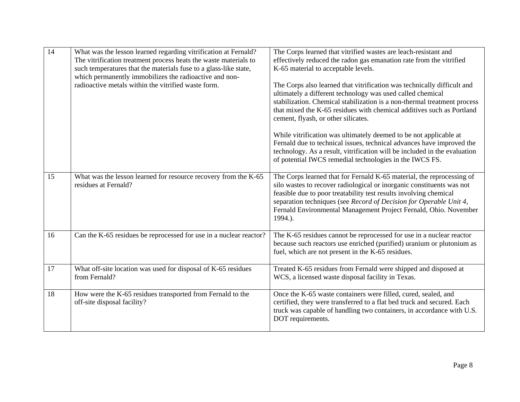| $\overline{14}$ | What was the lesson learned regarding vitrification at Fernald?<br>The vitrification treatment process heats the waste materials to<br>such temperatures that the materials fuse to a glass-like state,<br>which permanently immobilizes the radioactive and non-<br>radioactive metals within the vitrified waste form. | The Corps learned that vitrified wastes are leach-resistant and<br>effectively reduced the radon gas emanation rate from the vitrified<br>K-65 material to acceptable levels.<br>The Corps also learned that vitrification was technically difficult and<br>ultimately a different technology was used called chemical<br>stabilization. Chemical stabilization is a non-thermal treatment process<br>that mixed the K-65 residues with chemical additives such as Portland<br>cement, flyash, or other silicates.<br>While vitrification was ultimately deemed to be not applicable at<br>Fernald due to technical issues, technical advances have improved the<br>technology. As a result, vitrification will be included in the evaluation<br>of potential IWCS remedial technologies in the IWCS FS. |
|-----------------|--------------------------------------------------------------------------------------------------------------------------------------------------------------------------------------------------------------------------------------------------------------------------------------------------------------------------|----------------------------------------------------------------------------------------------------------------------------------------------------------------------------------------------------------------------------------------------------------------------------------------------------------------------------------------------------------------------------------------------------------------------------------------------------------------------------------------------------------------------------------------------------------------------------------------------------------------------------------------------------------------------------------------------------------------------------------------------------------------------------------------------------------|
| 15              | What was the lesson learned for resource recovery from the K-65<br>residues at Fernald?                                                                                                                                                                                                                                  | The Corps learned that for Fernald K-65 material, the reprocessing of<br>silo wastes to recover radiological or inorganic constituents was not<br>feasible due to poor treatability test results involving chemical<br>separation techniques (see Record of Decision for Operable Unit 4,<br>Fernald Environmental Management Project Fernald, Ohio. November<br>1994.).                                                                                                                                                                                                                                                                                                                                                                                                                                 |
| 16              | Can the K-65 residues be reprocessed for use in a nuclear reactor?                                                                                                                                                                                                                                                       | The K-65 residues cannot be reprocessed for use in a nuclear reactor<br>because such reactors use enriched (purified) uranium or plutonium as<br>fuel, which are not present in the K-65 residues.                                                                                                                                                                                                                                                                                                                                                                                                                                                                                                                                                                                                       |
| 17              | What off-site location was used for disposal of K-65 residues<br>from Fernald?                                                                                                                                                                                                                                           | Treated K-65 residues from Fernald were shipped and disposed at<br>WCS, a licensed waste disposal facility in Texas.                                                                                                                                                                                                                                                                                                                                                                                                                                                                                                                                                                                                                                                                                     |
| 18              | How were the K-65 residues transported from Fernald to the<br>off-site disposal facility?                                                                                                                                                                                                                                | Once the K-65 waste containers were filled, cured, sealed, and<br>certified, they were transferred to a flat bed truck and secured. Each<br>truck was capable of handling two containers, in accordance with U.S.<br>DOT requirements.                                                                                                                                                                                                                                                                                                                                                                                                                                                                                                                                                                   |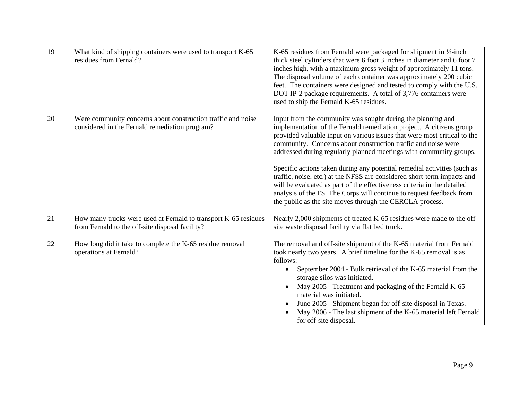| $\overline{19}$ | What kind of shipping containers were used to transport K-65<br>residues from Fernald?                             | K-65 residues from Fernald were packaged for shipment in $\frac{1}{2}$ -inch<br>thick steel cylinders that were 6 foot 3 inches in diameter and 6 foot 7<br>inches high, with a maximum gross weight of approximately 11 tons.<br>The disposal volume of each container was approximately 200 cubic<br>feet. The containers were designed and tested to comply with the U.S.<br>DOT IP-2 package requirements. A total of 3,776 containers were<br>used to ship the Fernald K-65 residues.                                                                                                                                                                                                                                  |
|-----------------|--------------------------------------------------------------------------------------------------------------------|-----------------------------------------------------------------------------------------------------------------------------------------------------------------------------------------------------------------------------------------------------------------------------------------------------------------------------------------------------------------------------------------------------------------------------------------------------------------------------------------------------------------------------------------------------------------------------------------------------------------------------------------------------------------------------------------------------------------------------|
| 20              | Were community concerns about construction traffic and noise<br>considered in the Fernald remediation program?     | Input from the community was sought during the planning and<br>implementation of the Fernald remediation project. A citizens group<br>provided valuable input on various issues that were most critical to the<br>community. Concerns about construction traffic and noise were<br>addressed during regularly planned meetings with community groups.<br>Specific actions taken during any potential remedial activities (such as<br>traffic, noise, etc.) at the NFSS are considered short-term impacts and<br>will be evaluated as part of the effectiveness criteria in the detailed<br>analysis of the FS. The Corps will continue to request feedback from<br>the public as the site moves through the CERCLA process. |
| 21              | How many trucks were used at Fernald to transport K-65 residues<br>from Fernald to the off-site disposal facility? | Nearly 2,000 shipments of treated K-65 residues were made to the off-<br>site waste disposal facility via flat bed truck.                                                                                                                                                                                                                                                                                                                                                                                                                                                                                                                                                                                                   |
| 22              | How long did it take to complete the K-65 residue removal<br>operations at Fernald?                                | The removal and off-site shipment of the K-65 material from Fernald<br>took nearly two years. A brief timeline for the K-65 removal is as<br>follows:<br>September 2004 - Bulk retrieval of the K-65 material from the<br>storage silos was initiated.<br>May 2005 - Treatment and packaging of the Fernald K-65<br>material was initiated.<br>June 2005 - Shipment began for off-site disposal in Texas.<br>May 2006 - The last shipment of the K-65 material left Fernald<br>for off-site disposal.                                                                                                                                                                                                                       |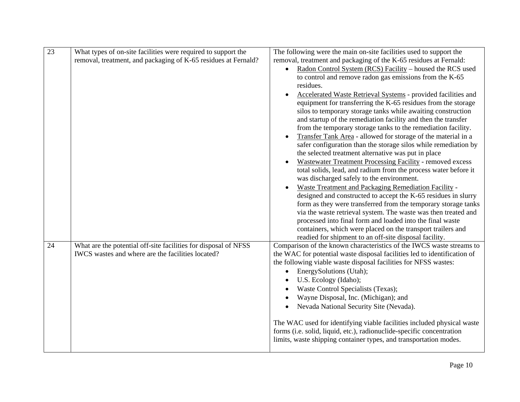| $\overline{23}$ | What types of on-site facilities were required to support the   | The following were the main on-site facilities used to support the       |
|-----------------|-----------------------------------------------------------------|--------------------------------------------------------------------------|
|                 | removal, treatment, and packaging of K-65 residues at Fernald?  | removal, treatment and packaging of the K-65 residues at Fernald:        |
|                 |                                                                 | Radon Control System (RCS) Facility – housed the RCS used<br>$\bullet$   |
|                 |                                                                 | to control and remove radon gas emissions from the K-65                  |
|                 |                                                                 | residues.                                                                |
|                 |                                                                 | Accelerated Waste Retrieval Systems - provided facilities and            |
|                 |                                                                 | equipment for transferring the K-65 residues from the storage            |
|                 |                                                                 | silos to temporary storage tanks while awaiting construction             |
|                 |                                                                 | and startup of the remediation facility and then the transfer            |
|                 |                                                                 | from the temporary storage tanks to the remediation facility.            |
|                 |                                                                 | Transfer Tank Area - allowed for storage of the material in a            |
|                 |                                                                 | safer configuration than the storage silos while remediation by          |
|                 |                                                                 | the selected treatment alternative was put in place                      |
|                 |                                                                 | Wastewater Treatment Processing Facility - removed excess                |
|                 |                                                                 | total solids, lead, and radium from the process water before it          |
|                 |                                                                 | was discharged safely to the environment.                                |
|                 |                                                                 | Waste Treatment and Packaging Remediation Facility -                     |
|                 |                                                                 | designed and constructed to accept the K-65 residues in slurry           |
|                 |                                                                 | form as they were transferred from the temporary storage tanks           |
|                 |                                                                 | via the waste retrieval system. The waste was then treated and           |
|                 |                                                                 | processed into final form and loaded into the final waste                |
|                 |                                                                 | containers, which were placed on the transport trailers and              |
|                 |                                                                 | readied for shipment to an off-site disposal facility.                   |
| 24              | What are the potential off-site facilities for disposal of NFSS | Comparison of the known characteristics of the IWCS waste streams to     |
|                 | IWCS wastes and where are the facilities located?               | the WAC for potential waste disposal facilities led to identification of |
|                 |                                                                 | the following viable waste disposal facilities for NFSS wastes:          |
|                 |                                                                 | EnergySolutions (Utah);                                                  |
|                 |                                                                 | U.S. Ecology (Idaho);                                                    |
|                 |                                                                 | Waste Control Specialists (Texas);                                       |
|                 |                                                                 | Wayne Disposal, Inc. (Michigan); and                                     |
|                 |                                                                 | Nevada National Security Site (Nevada).<br>$\bullet$                     |
|                 |                                                                 |                                                                          |
|                 |                                                                 | The WAC used for identifying viable facilities included physical waste   |
|                 |                                                                 | forms (i.e. solid, liquid, etc.), radionuclide-specific concentration    |
|                 |                                                                 | limits, waste shipping container types, and transportation modes.        |
|                 |                                                                 |                                                                          |